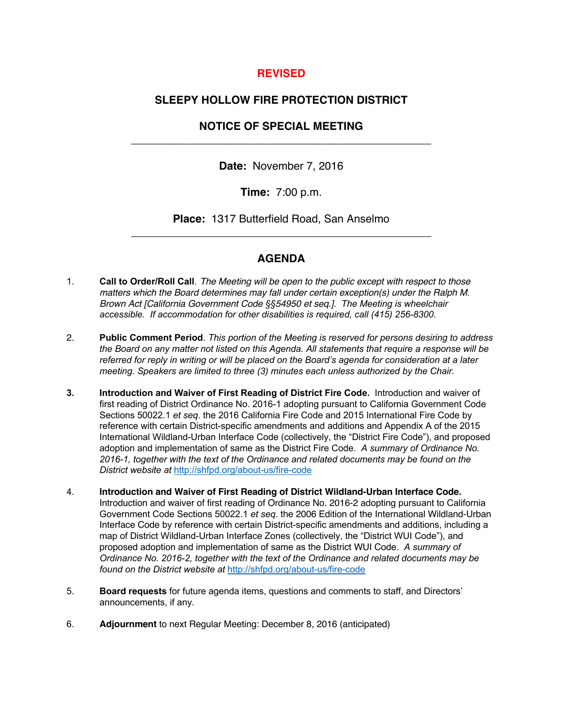### **REVISED**

## **SLEEPY HOLLOW FIRE PROTECTION DISTRICT**

# **NOTICE OF SPECIAL MEETING**  \_\_\_\_\_\_\_\_\_\_\_\_\_\_\_\_\_\_\_\_\_\_\_\_\_\_\_\_\_\_\_\_\_\_\_\_\_\_\_\_\_\_\_\_\_\_\_\_\_

**Date:** November 7, 2016

**Time:** 7:00 p.m.

**Place:** 1317 Butterfield Road, San Anselmo \_\_\_\_\_\_\_\_\_\_\_\_\_\_\_\_\_\_\_\_\_\_\_\_\_\_\_\_\_\_\_\_\_\_\_\_\_\_\_\_\_\_\_\_\_\_\_\_\_

## **AGENDA**

- 1. **Call to Order/Roll Call**. *The Meeting will be open to the public except with respect to those matters which the Board determines may fall under certain exception(s) under the Ralph M. Brown Act [California Government Code §§54950 et seq.]. The Meeting is wheelchair accessible. If accommodation for other disabilities is required, call (415) 256-8300.*
- 2. **Public Comment Period**. *This portion of the Meeting is reserved for persons desiring to address the Board on any matter not listed on this Agenda. All statements that require a response will be referred for reply in writing or will be placed on the Board's agenda for consideration at a later meeting. Speakers are limited to three (3) minutes each unless authorized by the Chair.*
- **3. Introduction and Waiver of First Reading of District Fire Code.** Introduction and waiver of first reading of District Ordinance No. 2016-1 adopting pursuant to California Government Code Sections 50022.1 *et seq*. the 2016 California Fire Code and 2015 International Fire Code by reference with certain District-specific amendments and additions and Appendix A of the 2015 International Wildland-Urban Interface Code (collectively, the "District Fire Code"), and proposed adoption and implementation of same as the District Fire Code. *A summary of Ordinance No. 2016-1, together with the text of the Ordinance and related documents may be found on the District website at* http://shfpd.org/about-us/fire-code
- 4. **Introduction and Waiver of First Reading of District Wildland-Urban Interface Code.** Introduction and waiver of first reading of Ordinance No. 2016-2 adopting pursuant to California Government Code Sections 50022.1 *et seq*. the 2006 Edition of the International Wildland-Urban Interface Code by reference with certain District-specific amendments and additions, including a map of District Wildland-Urban Interface Zones (collectively, the "District WUI Code"), and proposed adoption and implementation of same as the District WUI Code. *A summary of Ordinance No. 2016-2, together with the text of the Ordinance and related documents may be found on the District website at* http://shfpd.org/about-us/fire-code
- 5. **Board requests** for future agenda items, questions and comments to staff, and Directors' announcements, if any.
- 6. **Adjournment** to next Regular Meeting: December 8, 2016 (anticipated)